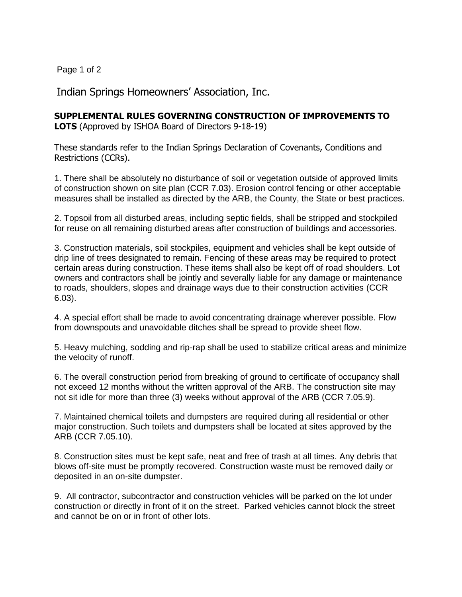Page 1 of 2

Indian Springs Homeowners' Association, Inc.

## **SUPPLEMENTAL RULES GOVERNING CONSTRUCTION OF IMPROVEMENTS TO**

**LOTS** (Approved by ISHOA Board of Directors 9-18-19)

These standards refer to the Indian Springs Declaration of Covenants, Conditions and Restrictions (CCRs).

1. There shall be absolutely no disturbance of soil or vegetation outside of approved limits of construction shown on site plan (CCR 7.03). Erosion control fencing or other acceptable measures shall be installed as directed by the ARB, the County, the State or best practices.

2. Topsoil from all disturbed areas, including septic fields, shall be stripped and stockpiled for reuse on all remaining disturbed areas after construction of buildings and accessories.

3. Construction materials, soil stockpiles, equipment and vehicles shall be kept outside of drip line of trees designated to remain. Fencing of these areas may be required to protect certain areas during construction. These items shall also be kept off of road shoulders. Lot owners and contractors shall be jointly and severally liable for any damage or maintenance to roads, shoulders, slopes and drainage ways due to their construction activities (CCR 6.03).

4. A special effort shall be made to avoid concentrating drainage wherever possible. Flow from downspouts and unavoidable ditches shall be spread to provide sheet flow.

5. Heavy mulching, sodding and rip-rap shall be used to stabilize critical areas and minimize the velocity of runoff.

6. The overall construction period from breaking of ground to certificate of occupancy shall not exceed 12 months without the written approval of the ARB. The construction site may not sit idle for more than three (3) weeks without approval of the ARB (CCR 7.05.9).

7. Maintained chemical toilets and dumpsters are required during all residential or other major construction. Such toilets and dumpsters shall be located at sites approved by the ARB (CCR 7.05.10).

8. Construction sites must be kept safe, neat and free of trash at all times. Any debris that blows off-site must be promptly recovered. Construction waste must be removed daily or deposited in an on-site dumpster.

9. All contractor, subcontractor and construction vehicles will be parked on the lot under construction or directly in front of it on the street. Parked vehicles cannot block the street and cannot be on or in front of other lots.